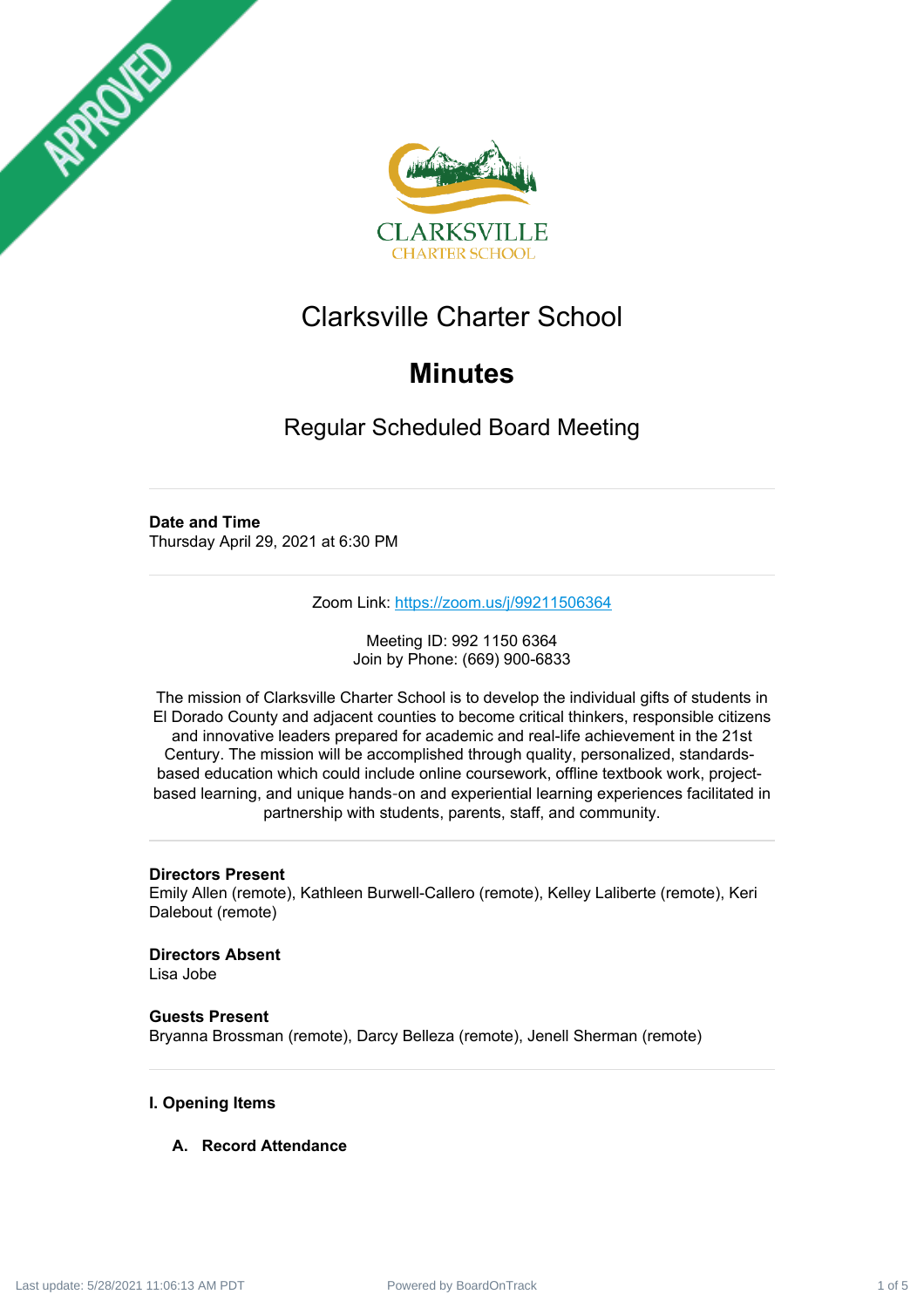



# Clarksville Charter School

# **Minutes**

Regular Scheduled Board Meeting

## **Date and Time**

Thursday April 29, 2021 at 6:30 PM

Zoom Link: <https://zoom.us/j/99211506364>

Meeting ID: 992 1150 6364 Join by Phone: (669) 900-6833

The mission of Clarksville Charter School is to develop the individual gifts of students in El Dorado County and adjacent counties to become critical thinkers, responsible citizens and innovative leaders prepared for academic and real-life achievement in the 21st Century. The mission will be accomplished through quality, personalized, standardsbased education which could include online coursework, offline textbook work, projectbased learning, and unique hands‐on and experiential learning experiences facilitated in partnership with students, parents, staff, and community.

## **Directors Present**

Emily Allen (remote), Kathleen Burwell-Callero (remote), Kelley Laliberte (remote), Keri Dalebout (remote)

**Directors Absent** Lisa Jobe

**Guests Present** Bryanna Brossman (remote), Darcy Belleza (remote), Jenell Sherman (remote)

## **I. Opening Items**

## **A. Record Attendance**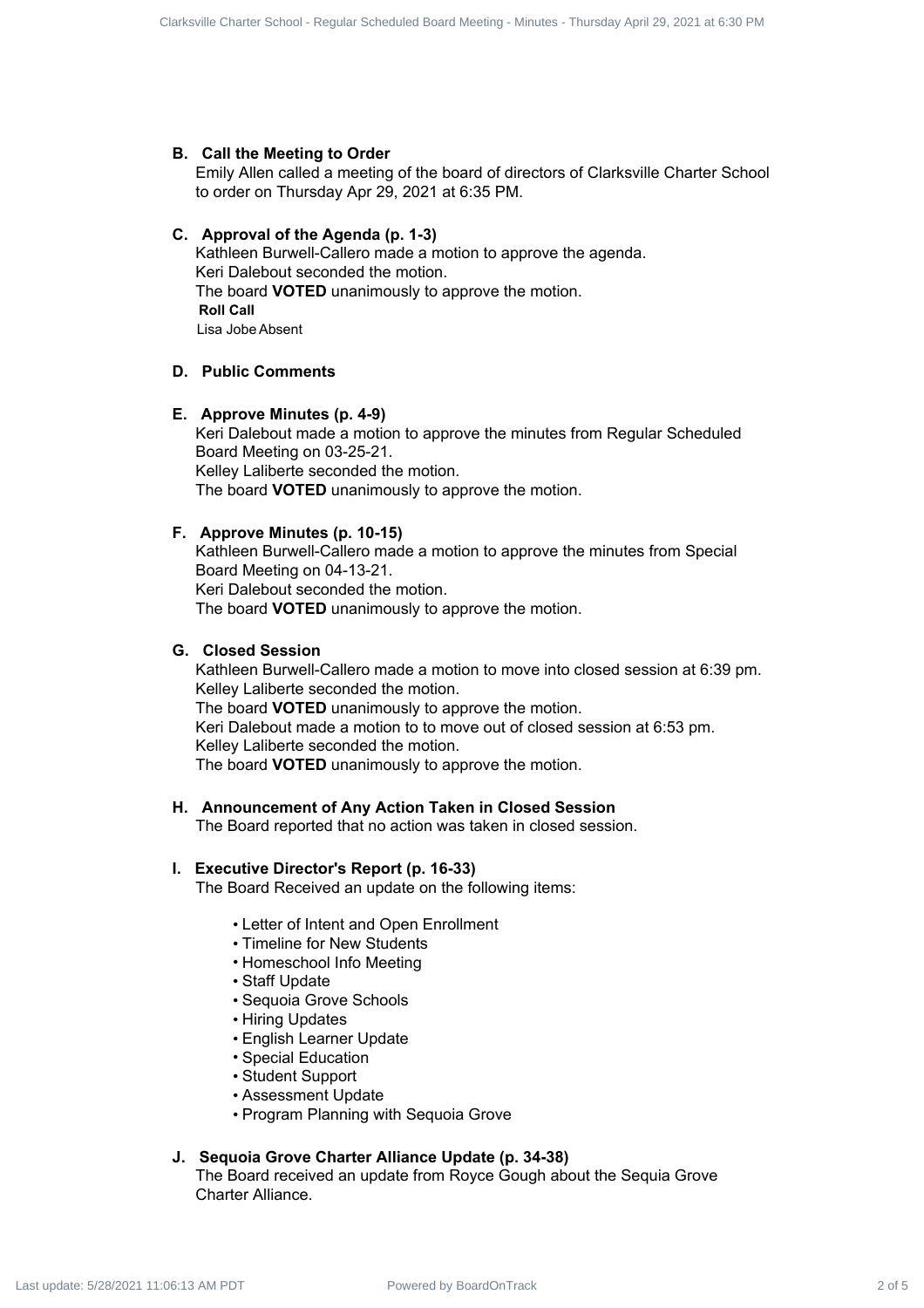#### **B. Call the Meeting to Order**

Emily Allen called a meeting of the board of directors of Clarksville Charter School to order on Thursday Apr 29, 2021 at 6:35 PM.

#### **C. Approval of the Agenda (p. 1-3)**

Kathleen Burwell-Callero made a motion to approve the agenda. Keri Dalebout seconded the motion. The board **VOTED** unanimously to approve the motion. **Roll Call** Lisa Jobe Absent

## **D. Public Comments**

#### **E. Approve Minutes (p. 4-9)**

Keri Dalebout made a motion to approve the minutes from Regular Scheduled Board Meeting on 03-25-21. Kelley Laliberte seconded the motion. The board **VOTED** unanimously to approve the motion.

#### **F. Approve Minutes (p. 10-15)**

Kathleen Burwell-Callero made a motion to approve the minutes from Special Board Meeting on 04-13-21. Keri Dalebout seconded the motion. The board **VOTED** unanimously to approve the motion.

#### **G. Closed Session**

Kathleen Burwell-Callero made a motion to move into closed session at 6:39 pm. Kelley Laliberte seconded the motion. The board **VOTED** unanimously to approve the motion. Keri Dalebout made a motion to to move out of closed session at 6:53 pm. Kelley Laliberte seconded the motion. The board **VOTED** unanimously to approve the motion. Counts Count Every Regular Schedule Charter School - Regular Scheduled Board Charter Scheduled Board - Regular Scheduled Board - Regular Scheduled Board - Regular Scheduled Board - Regular Scheduled Board - Regular Schedu

### **H. Announcement of Any Action Taken in Closed Session**

The Board reported that no action was taken in closed session.

#### **I. Executive Director's Report (p. 16-33)**

The Board Received an update on the following items:

- Letter of Intent and Open Enrollment
- Timeline for New Students
- Homeschool Info Meeting
- Staff Update
- Sequoia Grove Schools
- Hiring Updates
- English Learner Update
- Special Education
- Student Support
- Assessment Update
- Program Planning with Sequoia Grove

### **J. Sequoia Grove Charter Alliance Update (p. 34-38)**

The Board received an update from Royce Gough about the Sequia Grove Charter Alliance.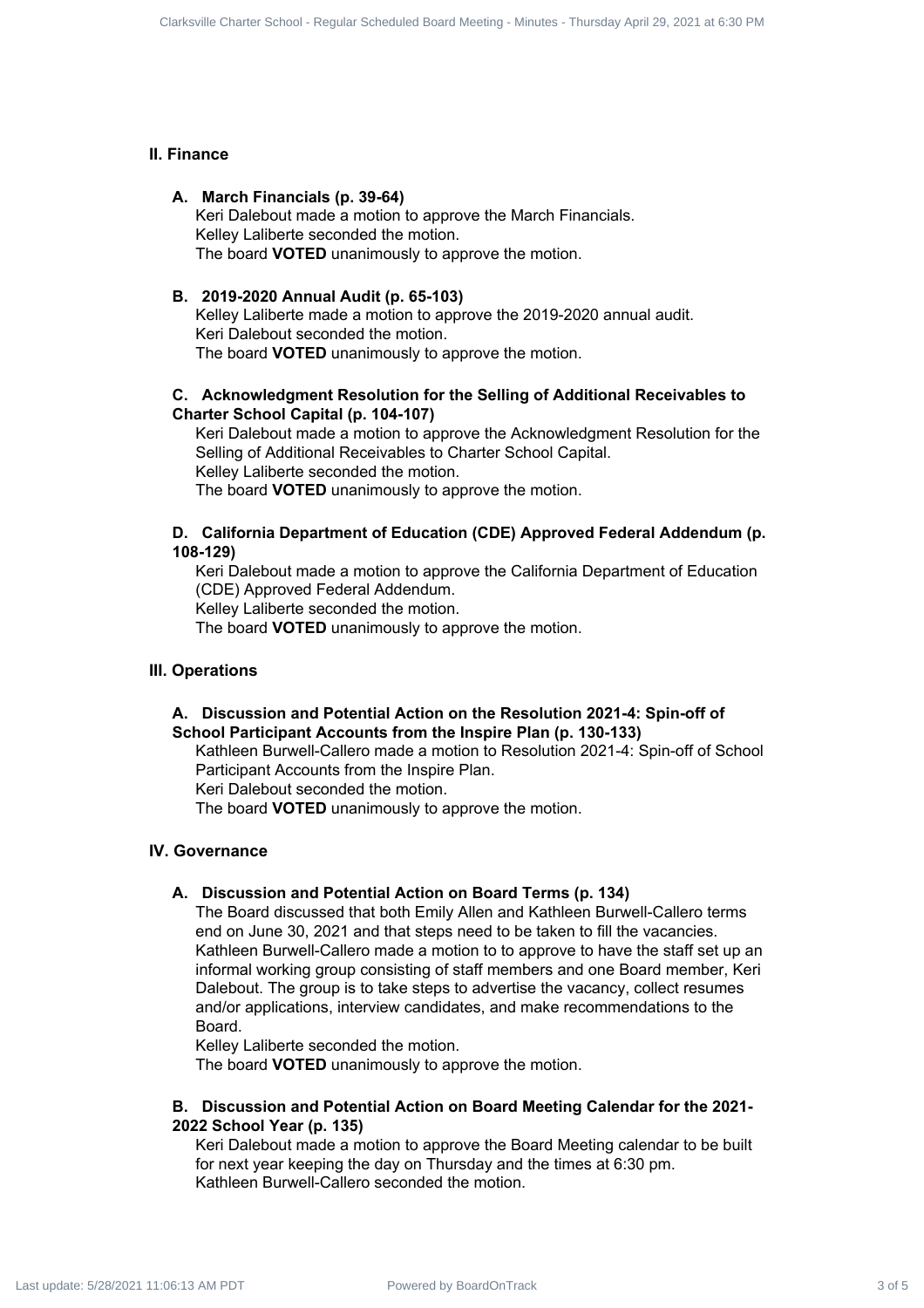#### **II. Finance**

#### **A. March Financials (p. 39-64)**

Keri Dalebout made a motion to approve the March Financials. Kelley Laliberte seconded the motion. The board **VOTED** unanimously to approve the motion.

#### **B. 2019-2020 Annual Audit (p. 65-103)**

Kelley Laliberte made a motion to approve the 2019-2020 annual audit. Keri Dalebout seconded the motion. The board **VOTED** unanimously to approve the motion.

## **C. Acknowledgment Resolution for the Selling of Additional Receivables to Charter School Capital (p. 104-107)**

Keri Dalebout made a motion to approve the Acknowledgment Resolution for the Selling of Additional Receivables to Charter School Capital. Kelley Laliberte seconded the motion. The board **VOTED** unanimously to approve the motion.

### **D. California Department of Education (CDE) Approved Federal Addendum (p. 108-129)**

Keri Dalebout made a motion to approve the California Department of Education (CDE) Approved Federal Addendum.

Kelley Laliberte seconded the motion.

The board **VOTED** unanimously to approve the motion.

#### **III. Operations**

## **A. Discussion and Potential Action on the Resolution 2021-4: Spin-off of School Participant Accounts from the Inspire Plan (p. 130-133)**

Kathleen Burwell-Callero made a motion to Resolution 2021-4: Spin-off of School Participant Accounts from the Inspire Plan.

Keri Dalebout seconded the motion.

The board **VOTED** unanimously to approve the motion.

#### **IV. Governance**

#### **A. Discussion and Potential Action on Board Terms (p. 134)**

The Board discussed that both Emily Allen and Kathleen Burwell-Callero terms end on June 30, 2021 and that steps need to be taken to fill the vacancies. Kathleen Burwell-Callero made a motion to to approve to have the staff set up an informal working group consisting of staff members and one Board member, Keri Dalebout. The group is to take steps to advertise the vacancy, collect resumes and/or applications, interview candidates, and make recommendations to the Board. Course to the Board Scheduled Board Schedule Charter Schedule Charter Schedule Charter Schedule Charter School - Regular Schedule Charter Schedule Charter Schedule Charter Schedule Charter Schedule Charter Schedule Charte

Kelley Laliberte seconded the motion.

The board **VOTED** unanimously to approve the motion.

### **B. Discussion and Potential Action on Board Meeting Calendar for the 2021- 2022 School Year (p. 135)**

Keri Dalebout made a motion to approve the Board Meeting calendar to be built for next year keeping the day on Thursday and the times at 6:30 pm. Kathleen Burwell-Callero seconded the motion.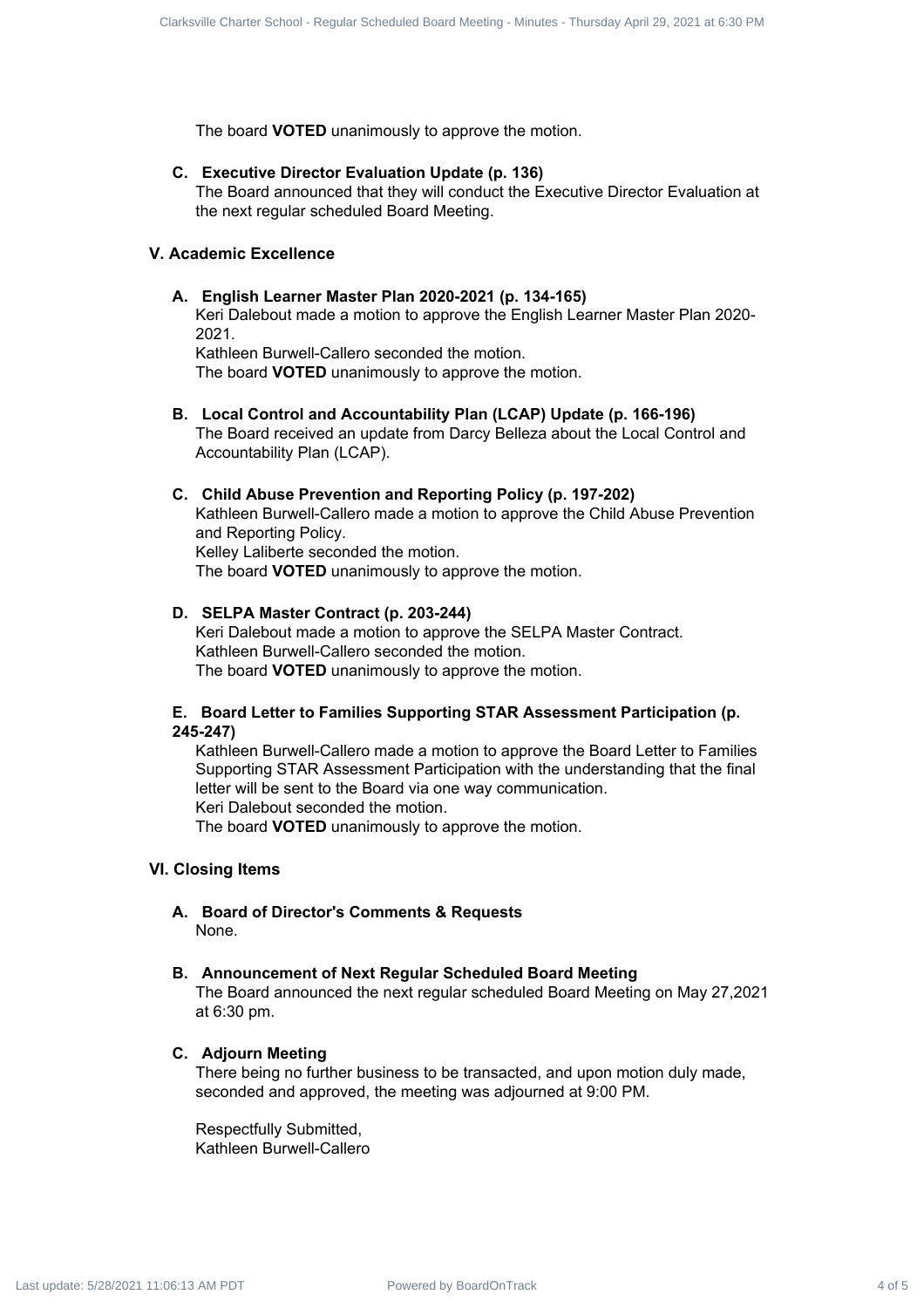The board **VOTED** unanimously to approve the motion.

#### **C. Executive Director Evaluation Update (p. 136)**

The Board announced that they will conduct the Executive Director Evaluation at the next regular scheduled Board Meeting.

## **V. Academic Excellence**

#### **A. English Learner Master Plan 2020-2021 (p. 134-165)**

Keri Dalebout made a motion to approve the English Learner Master Plan 2020- 2021.

Kathleen Burwell-Callero seconded the motion.

The board **VOTED** unanimously to approve the motion.

**B. Local Control and Accountability Plan (LCAP) Update (p. 166-196)**

The Board received an update from Darcy Belleza about the Local Control and Accountability Plan (LCAP).

#### **C. Child Abuse Prevention and Reporting Policy (p. 197-202)**

Kathleen Burwell-Callero made a motion to approve the Child Abuse Prevention and Reporting Policy. Kelley Laliberte seconded the motion. The board **VOTED** unanimously to approve the motion.

## **D. SELPA Master Contract (p. 203-244)**

Keri Dalebout made a motion to approve the SELPA Master Contract. Kathleen Burwell-Callero seconded the motion. The board **VOTED** unanimously to approve the motion.

#### **E. Board Letter to Families Supporting STAR Assessment Participation (p. 245-247)**

Kathleen Burwell-Callero made a motion to approve the Board Letter to Families Supporting STAR Assessment Participation with the understanding that the final letter will be sent to the Board via one way communication. Keri Dalebout seconded the motion. Counts Counts on France Excheduled Board - Regular Scheduled Board - Regular Scheduled Board - Regular Scheduled Board - Regular Scheduled Board - Regular Scheduled Board - Regular Scheduled Board - Regular Scheduled Board

The board **VOTED** unanimously to approve the motion.

## **VI. Closing Items**

**A. Board of Director's Comments & Requests** None.

#### **B. Announcement of Next Regular Scheduled Board Meeting**

The Board announced the next regular scheduled Board Meeting on May 27,2021 at 6:30 pm.

#### **C. Adjourn Meeting**

There being no further business to be transacted, and upon motion duly made, seconded and approved, the meeting was adjourned at 9:00 PM.

Respectfully Submitted, Kathleen Burwell-Callero